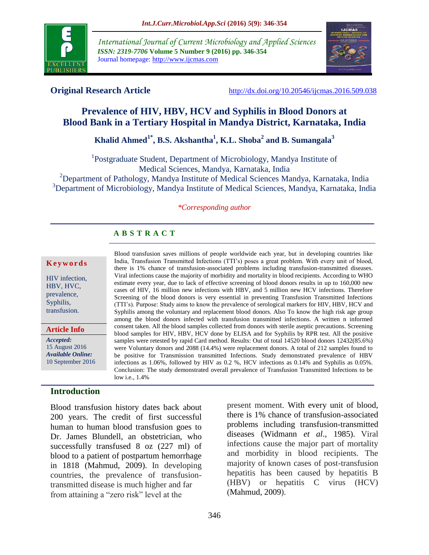

*International Journal of Current Microbiology and Applied Sciences ISSN: 2319-7706* **Volume 5 Number 9 (2016) pp. 346-354** Journal homepage: http://www.ijcmas.com



**Original Research Article** <http://dx.doi.org/10.20546/ijcmas.2016.509.038>

# **Prevalence of HIV, HBV, HCV and Syphilis in Blood Donors at Blood Bank in a Tertiary Hospital in Mandya District, Karnataka, India**

# **Khalid Ahmed1\* , B.S. Akshantha<sup>1</sup> , K.L. Shoba<sup>2</sup> and B. Sumangala<sup>3</sup>**

<sup>1</sup>Postgraduate Student, Department of Microbiology, Mandya Institute of Medical Sciences, Mandya, Karnataka, India

<sup>2</sup>Department of Pathology, Mandya Institute of Medical Sciences Mandya, Karnataka, India <sup>3</sup>Department of Microbiology, Mandya Institute of Medical Sciences, Mandya, Karnataka, India

#### *\*Corresponding author*

Blood transfusion saves millions of people worldwide each year, but in developing countries like India, Transfusion Transmitted Infections (TTI"s) poses a great problem. With every unit of blood, there is 1% chance of transfusion-associated problems including transfusion-transmitted diseases. Viral infections cause the majority of morbidity and mortality in blood recipients. According to WHO estimate every year, due to lack of effective screening of blood donors results in up to 160,000 new cases of HIV, 16 million new infections with HBV, and 5 million new HCV infections. Therefore Screening of the blood donors is very essential in preventing Transfusion Transmitted Infections (TTI"s). Purpose: Study aims to know the prevalence of serological markers for HIV, HBV, HCV and Syphilis among the voluntary and replacement blood donors. Also To know the high risk age group among the blood donors infected with transfusion transmitted infections. A written n informed consent taken. All the blood samples collected from donors with sterile aseptic precautions. Screening blood samples for HIV, HBV, HCV done by ELISA and for Syphilis by RPR test. All the positive samples were retested by rapid Card method. Results: Out of total 14520 blood donors 12432(85.6%) were Voluntary donors and 2088 (14.4%) were replacement donors. A total of 212 samples found to be positive for Transmission transmitted Infections. Study demonstrated prevalence of HBV infections as 1.06%, followed by HIV as 0.2 %, HCV infections as 0.14% and Syphilis as 0.05%. Conclusion: The study demonstrated overall prevalence of Transfusion Transmitted Infections to be

# **A B S T R A C T**

#### **K e y w o r d s**

HIV infection, HBV, HVC, prevalence, Syphilis, transfusion.

**Article Info**

*Accepted:*  15 August 2016 *Available Online:* 10 September 2016

#### **Introduction**

Blood transfusion history dates back about 200 years. The credit of first successful human to human blood transfusion goes to Dr. James Blundell, an obstetrician, who successfully transfused 8 oz (227 ml) of blood to a patient of postpartum hemorrhage in 1818 (Mahmud, 2009). In developing countries, the prevalence of transfusiontransmitted disease is much higher and far from attaining a "zero risk" level at the

low i.e., 1.4%

problems including transfusion-transmitted diseases (Widmann *et al*., 1985). Viral infections cause the major part of mortality and morbidity in blood recipients. The majority of known cases of post-transfusion hepatitis has been caused by hepatitis B (HBV) or hepatitis C virus (HCV) (Mahmud, 2009).

present moment. With every unit of blood, there is 1% chance of transfusion-associated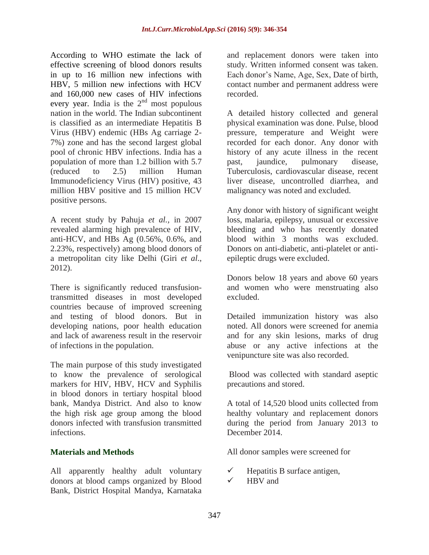According to WHO estimate the lack of effective screening of blood donors results in up to 16 million new infections with HBV, 5 million new infections with HCV and 160,000 new cases of HIV infections every year. India is the  $2<sup>nd</sup>$  most populous nation in the world. The Indian subcontinent is classified as an intermediate Hepatitis B Virus (HBV) endemic (HBs Ag carriage 2- 7%) zone and has the second largest global pool of chronic HBV infections. India has a population of more than 1.2 billion with 5.7 (reduced to 2.5) million Human Immunodeficiency Virus (HIV) positive, 43 million HBV positive and 15 million HCV positive persons.

A recent study by Pahuja *et al.,* in 2007 revealed alarming high prevalence of HIV, anti-HCV, and HBs Ag (0.56%, 0.6%, and 2.23%, respectively) among blood donors of a metropolitan city like Delhi (Giri *et al*., 2012).

There is significantly reduced transfusiontransmitted diseases in most developed countries because of improved screening and testing of blood donors. But in developing nations, poor health education and lack of awareness result in the reservoir of infections in the population.

The main purpose of this study investigated to know the prevalence of serological markers for HIV, HBV, HCV and Syphilis in blood donors in tertiary hospital blood bank, Mandya District. And also to know the high risk age group among the blood donors infected with transfusion transmitted infections.

## **Materials and Methods**

All apparently healthy adult voluntary donors at blood camps organized by Blood Bank, District Hospital Mandya, Karnataka

and replacement donors were taken into study. Written informed consent was taken. Each donor"s Name, Age, Sex, Date of birth, contact number and permanent address were recorded.

A detailed history collected and general physical examination was done. Pulse, blood pressure, temperature and Weight were recorded for each donor. Any donor with history of any acute illness in the recent past, jaundice, pulmonary disease, Tuberculosis, cardiovascular disease, recent liver disease, uncontrolled diarrhea, and malignancy was noted and excluded.

Any donor with history of significant weight loss, malaria, epilepsy, unusual or excessive bleeding and who has recently donated blood within 3 months was excluded. Donors on anti-diabetic, anti-platelet or antiepileptic drugs were excluded.

Donors below 18 years and above 60 years and women who were menstruating also excluded.

Detailed immunization history was also noted. All donors were screened for anemia and for any skin lesions, marks of drug abuse or any active infections at the venipuncture site was also recorded.

Blood was collected with standard aseptic precautions and stored.

A total of 14,520 blood units collected from healthy voluntary and replacement donors during the period from January 2013 to December 2014.

All donor samples were screened for

- $\checkmark$  Hepatitis B surface antigen,
- HBV and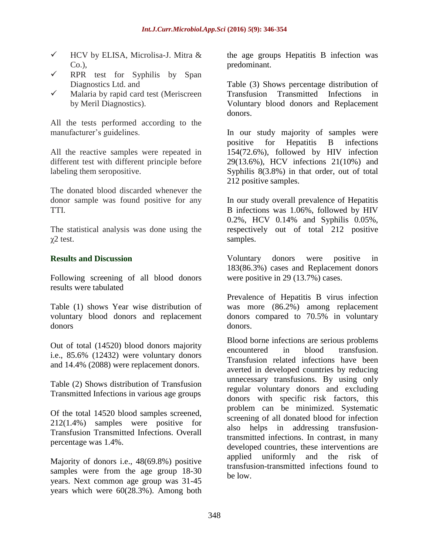- $\checkmark$  HCV by ELISA, Microlisa-J. Mitra & Co.),
- $\checkmark$  RPR test for Syphilis by Span Diagnostics Ltd. and
- $\checkmark$  Malaria by rapid card test (Meriscreen by Meril Diagnostics).

All the tests performed according to the manufacturer's guidelines.

All the reactive samples were repeated in different test with different principle before labeling them seropositive.

The donated blood discarded whenever the donor sample was found positive for any TTI.

The statistical analysis was done using the  $χ2$  test.

## **Results and Discussion**

Following screening of all blood donors results were tabulated

Table (1) shows Year wise distribution of voluntary blood donors and replacement donors

Out of total (14520) blood donors majority i.e., 85.6% (12432) were voluntary donors and 14.4% (2088) were replacement donors.

Table (2) Shows distribution of Transfusion Transmitted Infections in various age groups

Of the total 14520 blood samples screened, 212(1.4%) samples were positive for Transfusion Transmitted Infections. Overall percentage was 1.4%.

Majority of donors i.e., 48(69.8%) positive samples were from the age group 18-30 years. Next common age group was 31-45 years which were 60(28.3%). Among both the age groups Hepatitis B infection was predominant.

Table (3) Shows percentage distribution of Transfusion Transmitted Infections in Voluntary blood donors and Replacement donors.

In our study majority of samples were positive for Hepatitis B infections 154(72.6%), followed by HIV infection 29(13.6%), HCV infections 21(10%) and Syphilis 8(3.8%) in that order, out of total 212 positive samples.

In our study overall prevalence of Hepatitis B infections was 1.06%, followed by HIV 0.2%, HCV 0.14% and Syphilis 0.05%, respectively out of total 212 positive samples.

Voluntary donors were positive in 183(86.3%) cases and Replacement donors were positive in 29 (13.7%) cases.

Prevalence of Hepatitis B virus infection was more (86.2%) among replacement donors compared to 70.5% in voluntary donors.

Blood borne infections are serious problems encountered in blood transfusion. Transfusion related infections have been averted in developed countries by reducing unnecessary transfusions. By using only regular voluntary donors and excluding donors with specific risk factors, this problem can be minimized. Systematic screening of all donated blood for infection also helps in addressing transfusiontransmitted infections. In contrast, in many developed countries, these interventions are applied uniformly and the risk of transfusion-transmitted infections found to be low.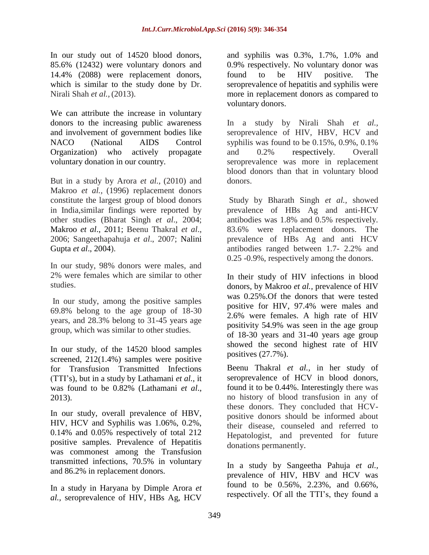In our study out of 14520 blood donors, 85.6% (12432) were voluntary donors and 14.4% (2088) were replacement donors, which is similar to the study done by Dr. Nirali Shah *et al.,* (2013).

We can attribute the increase in voluntary donors to the increasing public awareness and involvement of government bodies like NACO (National AIDS Control Organization) who actively propagate voluntary donation in our country.

But in a study by Arora *et al.,* (2010) and Makroo *et al.,* (1996) replacement donors constitute the largest group of blood donors in India,similar findings were reported by other studies (Bharat Singh *et al*., 2004; Makroo *et al*., 2011; Beenu Thakral *et al*., 2006; Sangeethapahuja *et al*., 2007; Nalini Gupta *et al*., 2004).

In our study, 98% donors were males, and 2% were females which are similar to other studies.

In our study, among the positive samples 69.8% belong to the age group of 18-30 years, and 28.3% belong to 31-45 years age group, which was similar to other studies.

In our study, of the 14520 blood samples screened, 212(1.4%) samples were positive for Transfusion Transmitted Infections (TTI"s), but in a study by Lathamani *et al.,* it was found to be 0.82% (Lathamani *et al*., 2013).

In our study, overall prevalence of HBV, HIV, HCV and Syphilis was 1.06%, 0.2%, 0.14% and 0.05% respectively of total 212 positive samples. Prevalence of Hepatitis was commonest among the Transfusion transmitted infections, 70.5% in voluntary and 86.2% in replacement donors.

In a study in Haryana by Dimple Arora *et al.,* seroprevalence of HIV, HBs Ag, HCV and syphilis was 0.3%, 1.7%, 1.0% and 0.9% respectively. No voluntary donor was found to be HIV positive. The seroprevalence of hepatitis and syphilis were more in replacement donors as compared to voluntary donors.

In a study by Nirali Shah *et al.,* seroprevalence of HIV, HBV, HCV and syphilis was found to be 0.15%, 0.9%, 0.1% and 0.2% respectively. Overall seroprevalence was more in replacement blood donors than that in voluntary blood donors.

Study by Bharath Singh *et al.,* showed prevalence of HBs Ag and anti-HCV antibodies was 1.8% and 0.5% respectively. 83.6% were replacement donors. The prevalence of HBs Ag and anti HCV antibodies ranged between 1.7- 2.2% and 0.25 -0.9%, respectively among the donors.

In their study of HIV infections in blood donors, by Makroo *et al.,* prevalence of HIV was 0.25%.Of the donors that were tested positive for HIV, 97.4% were males and 2.6% were females. A high rate of HIV positivity 54.9% was seen in the age group of 18-30 years and 31-40 years age group showed the second highest rate of HIV positives (27.7%).

Beenu Thakral *et al.,* in her study of seroprevalence of HCV in blood donors, found it to be 0.44%. Interestingly there was no history of blood transfusion in any of these donors. They concluded that HCVpositive donors should be informed about their disease, counseled and referred to Hepatologist, and prevented for future donations permanently.

In a study by Sangeetha Pahuja *et al.,* prevalence of HIV, HBV and HCV was found to be 0.56%, 2.23%, and 0.66%, respectively. Of all the TTI"s, they found a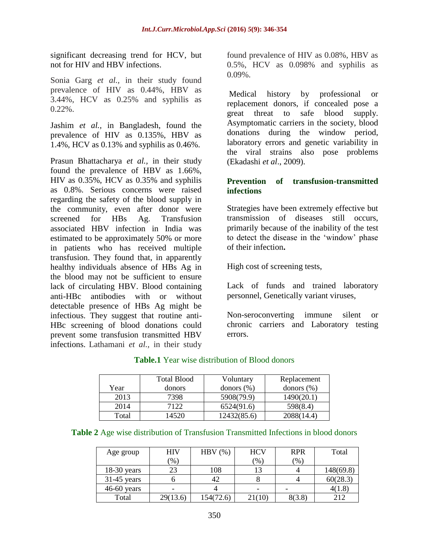significant decreasing trend for HCV, but not for HIV and HBV infections.

Sonia Garg *et al.,* in their study found prevalence of HIV as 0.44%, HBV as 3.44%, HCV as 0.25% and syphilis as  $0.22\%$ .

Jashim *et al.,* in Bangladesh, found the prevalence of HIV as 0.135%, HBV as 1.4%, HCV as 0.13% and syphilis as 0.46%.

Prasun Bhattacharya *et al.,* in their study found the prevalence of HBV as 1.66%, HIV as 0.35%, HCV as 0.35% and syphilis as 0.8%. Serious concerns were raised regarding the safety of the blood supply in the community, even after donor were screened for HBs Ag. Transfusion associated HBV infection in India was estimated to be approximately 50% or more in patients who has received multiple transfusion. They found that, in apparently healthy individuals absence of HBs Ag in the blood may not be sufficient to ensure lack of circulating HBV. Blood containing anti-HBc antibodies with or without detectable presence of HBs Ag might be infectious. They suggest that routine anti-HBc screening of blood donations could prevent some transfusion transmitted HBV infections. Lathamani *et al.,* in their study

found prevalence of HIV as 0.08%, HBV as 0.5%, HCV as 0.098% and syphilis as  $0.09\%$ .

Medical history by professional or replacement donors, if concealed pose a great threat to safe blood supply. Asymptomatic carriers in the society, blood donations during the window period, laboratory errors and genetic variability in the viral strains also pose problems (Ekadashi *et al*., 2009).

#### **Prevention of transfusion-transmitted infections**

Strategies have been extremely effective but transmission of diseases still occurs, primarily because of the inability of the test to detect the disease in the "window" phase of their infection**.**

High cost of screening tests,

Lack of funds and trained laboratory personnel, Genetically variant viruses,

Non-seroconverting immune silent or chronic carriers and Laboratory testing errors.

|       | <b>Total Blood</b> | Voluntary     | Replacement   |
|-------|--------------------|---------------|---------------|
| Year  | donors             | donors $(\%)$ | donors $(\%)$ |
| 2013  | 7398               | 5908(79.9)    | 1490(20.1)    |
| 2014  | 7122               | 6524(91.6)    | 598(8.4)      |
| Total | 14520              | 12432(85.6)   | 2088(14.4)    |

#### **Table.1** Year wise distribution of Blood donors

| Table 2 Age wise distribution of Transfusion Transmitted Infections in blood donors |  |  |  |  |  |
|-------------------------------------------------------------------------------------|--|--|--|--|--|
|-------------------------------------------------------------------------------------|--|--|--|--|--|

| Age group     | <b>HIV</b> | HBV $(\%)$ | <b>HCV</b> | <b>RPR</b> | Total     |
|---------------|------------|------------|------------|------------|-----------|
|               | (96)       |            | (% )       | $(\% )$    |           |
| $18-30$ years | 23         | 108        | 13         |            | 148(69.8) |
| $31-45$ years |            | 42         |            |            | 60(28.3)  |
| $46-60$ years |            |            | ۰          |            | 4(1.8)    |
| Total         | 29(13.6)   | 154(72.6)  | 21(10)     | 8(3.8)     | 212       |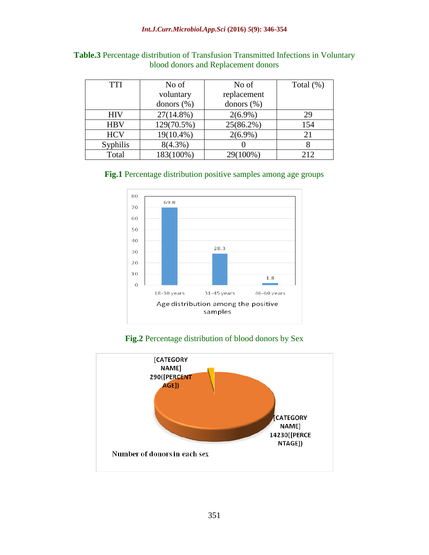| <b>TTI</b> | No of          | No of         | Total $(\%)$ |
|------------|----------------|---------------|--------------|
|            | voluntary      | replacement   |              |
|            | donors $(\% )$ | donors $(\%)$ |              |
| <b>HIV</b> | $27(14.8\%)$   | $2(6.9\%)$    | 29           |
| <b>HBV</b> | 129(70.5%)     | $25(86.2\%)$  | 154          |
| <b>HCV</b> | 19(10.4%)      | $2(6.9\%)$    | 21           |
| Syphilis   | $8(4.3\%)$     |               |              |
| Total      | 183(100%)      | 29(100%)      | 212          |

| Table.3 Percentage distribution of Transfusion Transmitted Infections in Voluntary |  |  |  |  |
|------------------------------------------------------------------------------------|--|--|--|--|
| blood donors and Replacement donors                                                |  |  |  |  |





**Fig.2** Percentage distribution of blood donors by Sex

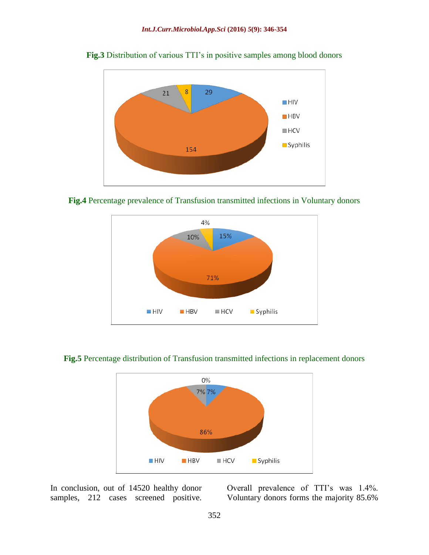

**Fig.3** Distribution of various TTI's in positive samples among blood donors









In conclusion, out of 14520 healthy donor samples, 212 cases screened positive.

Overall prevalence of TTI"s was 1.4%. Voluntary donors forms the majority 85.6%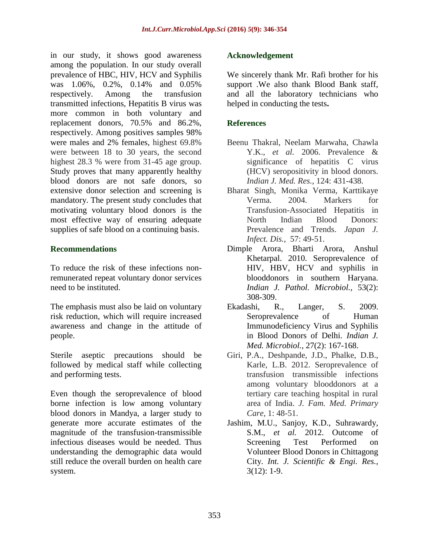in our study, it shows good awareness among the population. In our study overall prevalence of HBC, HIV, HCV and Syphilis was 1.06%, 0.2%, 0.14% and 0.05% respectively. Among the transfusion transmitted infections, Hepatitis B virus was more common in both voluntary and replacement donors, 70.5% and 86.2%, respectively. Among positives samples 98% were males and 2% females, highest 69.8% were between 18 to 30 years, the second highest 28.3 % were from 31-45 age group. Study proves that many apparently healthy blood donors are not safe donors, so extensive donor selection and screening is mandatory. The present study concludes that motivating voluntary blood donors is the most effective way of ensuring adequate supplies of safe blood on a continuing basis.

## **Recommendations**

To reduce the risk of these infections nonremunerated repeat voluntary donor services need to be instituted.

The emphasis must also be laid on voluntary risk reduction, which will require increased awareness and change in the attitude of people.

Sterile aseptic precautions should be followed by medical staff while collecting and performing tests.

Even though the seroprevalence of blood borne infection is low among voluntary blood donors in Mandya, a larger study to generate more accurate estimates of the magnitude of the transfusion-transmissible infectious diseases would be needed. Thus understanding the demographic data would still reduce the overall burden on health care system.

## **Acknowledgement**

We sincerely thank Mr. Rafi brother for his support .We also thank Blood Bank staff, and all the laboratory technicians who helped in conducting the tests**.**

## **References**

- Beenu Thakral, Neelam Marwaha, Chawla Y.K., *et al.* 2006. Prevalence & significance of hepatitis C virus (HCV) seropositivity in blood donors. *Indian J. Med. Res.,* 124: 431-438.
- Bharat Singh, Monika Verma, Karttikaye Verma. 2004. Markers for Transfusion-Associated Hepatitis in North Indian Blood Donors: Prevalence and Trends. *Japan J. Infect. Dis.,* 57: 49-51.
- Dimple Arora, Bharti Arora, Anshul Khetarpal. 2010. Seroprevalence of HIV, HBV, HCV and syphilis in blooddonors in southern Haryana. *Indian J. Pathol. Microbiol.,* 53(2): 308-309.
- Ekadashi, R., Langer, S. 2009. Seroprevalence of Human Immunodeficiency Virus and Syphilis in Blood Donors of Delhi. *Indian J. Med. Microbiol.,* 27(2): 167-168.
- Giri, P.A., Deshpande, J.D., Phalke, D.B., Karle, L.B. 2012. Seroprevalence of transfusion transmissible infections among voluntary blooddonors at a tertiary care teaching hospital in rural area of India. *J. Fam. Med. Primary Care,* 1: 48-51.
- Jashim, M.U., Sanjoy, K.D., Suhrawardy, S.M., *et al.* 2012. Outcome of Screening Test Performed on Volunteer Blood Donors in Chittagong City. *Int. J. Scientific & Engi. Res.,*  3(12): 1-9.